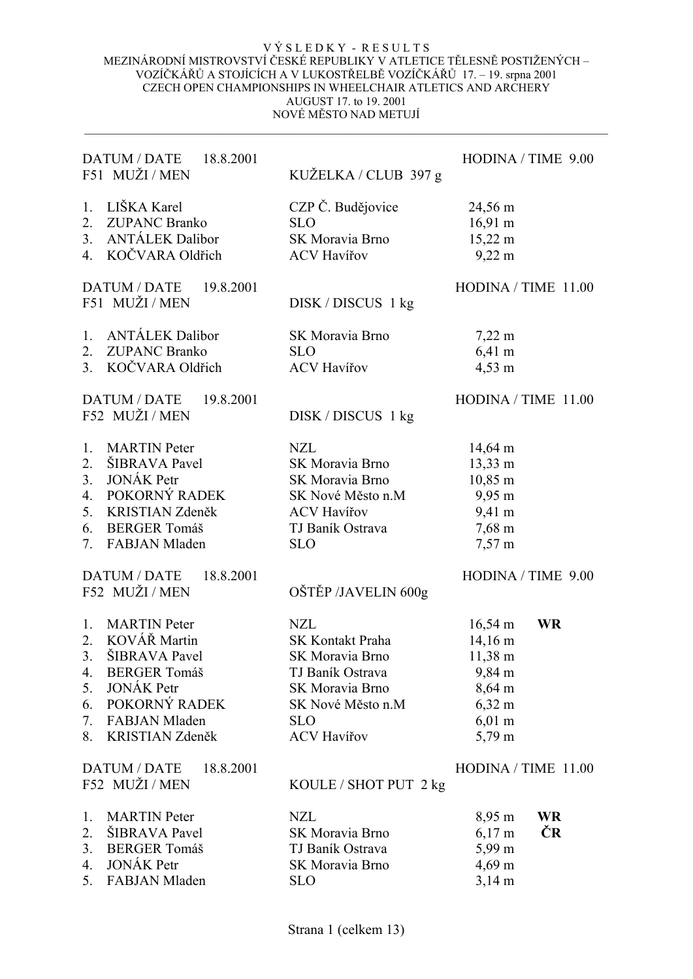| DATUM / DATE<br>18.8.2001<br>F51 MUŽI / MEN                                                                                                                                                     | KUŽELKA / CLUB 397 g                                                                                                                              | HODINA / TIME 9.00                                                                                                           |
|-------------------------------------------------------------------------------------------------------------------------------------------------------------------------------------------------|---------------------------------------------------------------------------------------------------------------------------------------------------|------------------------------------------------------------------------------------------------------------------------------|
| LIŠKA Karel<br>$1_{\cdot}$<br><b>ZUPANC Branko</b><br>2.<br>3. ANTÁLEK Dalibor<br>4. KOČVARA Oldřich                                                                                            | CZP Č. Budějovice<br><b>SLO</b><br>SK Moravia Brno<br><b>ACV Havířov</b>                                                                          | 24,56 m<br>$16,91 \text{ m}$<br>$15,22 \text{ m}$<br>$9,22 \; \mathrm{m}$                                                    |
| <b>DATUM / DATE</b><br>19.8.2001<br>F51 MUŽI / MEN                                                                                                                                              | DISK / DISCUS 1 kg                                                                                                                                | HODINA / TIME 11.00                                                                                                          |
| <b>ANTÁLEK Dalibor</b><br>1.<br>2. ZUPANC Branko<br>3. KOČVARA Oldřich                                                                                                                          | SK Moravia Brno<br><b>SLO</b><br><b>ACV Havířov</b>                                                                                               | $7,22 \; \text{m}$<br>$6,41 \; m$<br>4,53 m                                                                                  |
| <b>DATUM / DATE</b><br>19.8.2001<br>F52 MUŽI / MEN                                                                                                                                              | DISK / DISCUS 1 kg                                                                                                                                | HODINA / TIME 11.00                                                                                                          |
| <b>MARTIN</b> Peter<br>1.<br>ŠIBRAVA Pavel<br>2.<br><b>JONÁK Petr</b><br>3.<br>4. POKORNÝ RADEK<br>5. KRISTIAN Zdeněk<br><b>BERGER Tomáš</b><br>6.<br><b>FABJAN Mladen</b><br>7.                | <b>NZL</b><br>SK Moravia Brno<br>SK Moravia Brno<br>SK Nové Město n.M<br><b>ACV Havířov</b><br>TJ Baník Ostrava<br><b>SLO</b>                     | $14,64 \text{ m}$<br>13,33 m<br>10,85 m<br>$9,95 \text{ m}$<br>9,41 m<br>$7,68 \text{ m}$<br>$7,57 \text{ m}$                |
| DATUM / DATE<br>18.8.2001<br>F52 MUŽI / MEN                                                                                                                                                     | OŠTĚP /JAVELIN 600g                                                                                                                               | HODINA / TIME 9.00                                                                                                           |
| <b>MARTIN</b> Peter<br>1.<br>2. KOVÁŘ Martin<br>ŠIBRAVA Pavel<br>3.<br>4.<br><b>BERGER Tomáš</b><br><b>JONÁK Petr</b><br>5.<br>POKORNÝ RADEK<br>6.<br>7. FABJAN Mladen<br>8.<br>KRISTIAN Zdeněk | <b>NZL</b><br>SK Kontakt Praha<br>SK Moravia Brno<br>TJ Baník Ostrava<br>SK Moravia Brno<br>SK Nové Město n.M<br><b>SLO</b><br><b>ACV Havířov</b> | <b>WR</b><br>$16,54 \text{ m}$<br>14,16 m<br>11,38 m<br>9,84 m<br>8,64 m<br>$6,32 \; \rm{m}$<br>$6,01 \; \text{m}$<br>5,79 m |
| <b>DATUM / DATE</b><br>18.8.2001<br>F52 MUŽI / MEN                                                                                                                                              | KOULE / SHOT PUT 2 kg                                                                                                                             | HODINA / TIME 11.00                                                                                                          |
| <b>MARTIN</b> Peter<br>1.<br><b>SIBRAVA</b> Pavel<br>2.<br><b>BERGER Tomáš</b><br>3.<br><b>JONÁK Petr</b><br>4.<br>5.<br><b>FABJAN Mladen</b>                                                   | <b>NZL</b><br>SK Moravia Brno<br>TJ Baník Ostrava<br>SK Moravia Brno<br><b>SLO</b>                                                                | 8,95 m<br><b>WR</b><br>ČR<br>$6,17 \; \rm{m}$<br>5,99 m<br>$4,69 \text{ m}$<br>$3,14 \text{ m}$                              |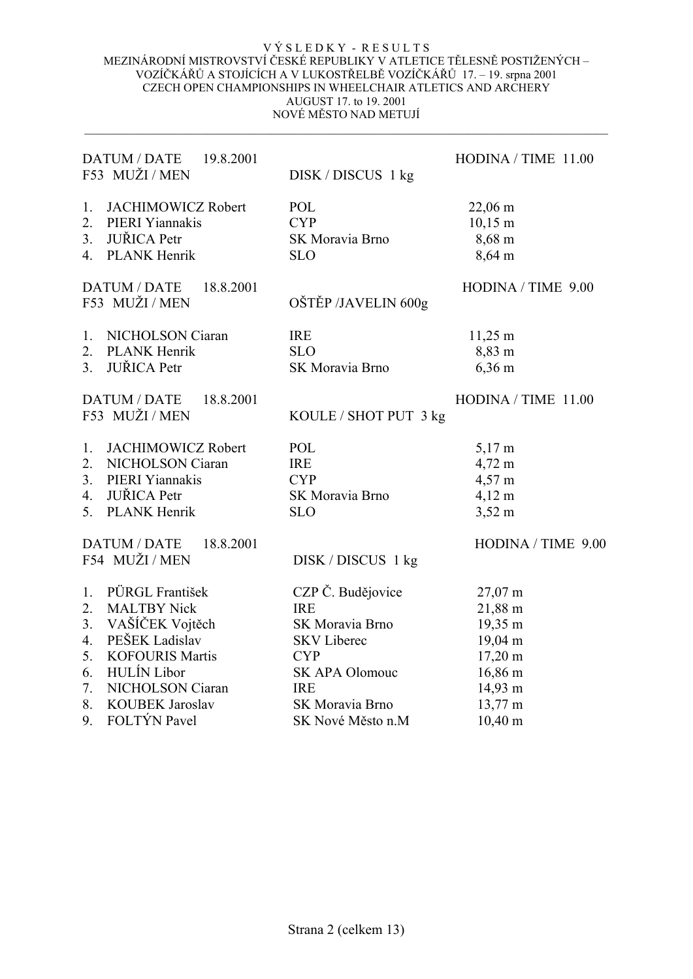| DATUM / DATE 19.8.2001<br>F53 MUŽI / MEN           | DISK / DISCUS 1 kg    | HODINA / TIME 11.00 |
|----------------------------------------------------|-----------------------|---------------------|
| <b>JACHIMOWICZ Robert</b><br>1.                    | POL                   | $22,06 \text{ m}$   |
| 2.<br>PIERI Yiannakis                              | <b>CYP</b>            | $10,15 \; \text{m}$ |
| <b>JUŘICA</b> Petr<br>3.                           | SK Moravia Brno       | $8,68 \text{ m}$    |
| 4. PLANK Henrik                                    | <b>SLO</b>            | 8,64 m              |
| <b>DATUM / DATE</b><br>18.8.2001<br>F53 MUŽI / MEN | OŠTĚP /JAVELIN 600g   | HODINA / TIME 9.00  |
| NICHOLSON Ciaran<br>1.                             | <b>IRE</b>            | $11,25 \; \text{m}$ |
| 2. PLANK Henrik                                    | <b>SLO</b>            | 8,83 m              |
| <b>JUŘICA</b> Petr<br>3 <sup>1</sup>               | SK Moravia Brno       | $6,36 \; \rm{m}$    |
| DATUM / DATE<br>18.8.2001<br>F53 MUŽI / MEN        | KOULE / SHOT PUT 3 kg | HODINA / TIME 11.00 |
| <b>JACHIMOWICZ Robert</b><br>1.                    | POL                   | $5,17 \text{ m}$    |
| 2.<br>NICHOLSON Ciaran                             | <b>IRE</b>            | 4,72 m              |
| 3. PIERI Yiannakis                                 | <b>CYP</b>            | 4,57 m              |
| <b>JUŘICA</b> Petr<br>4.                           | SK Moravia Brno       | $4,12 \; m$         |
| <b>PLANK Henrik</b><br>5.                          | <b>SLO</b>            | $3,52 \text{ m}$    |
| <b>DATUM / DATE</b><br>18.8.2001                   |                       | HODINA / TIME 9.00  |
| F54 MUŽI / MEN                                     | DISK / DISCUS 1 kg    |                     |
| PÜRGL František<br>1.                              | CZP Č. Budějovice     | $27,07 \text{ m}$   |
| 2.<br><b>MALTBY Nick</b>                           | <b>IRE</b>            | 21,88 m             |
| VAŠÍČEK Vojtěch<br>3.                              | SK Moravia Brno       | 19,35 m             |
| PEŠEK Ladislav<br>4.                               | <b>SKV</b> Liberec    | 19,04 m             |
| 5.<br><b>KOFOURIS Martis</b>                       | <b>CYP</b>            | $17,20 \text{ m}$   |
| <b>HULÍN</b> Libor<br>6.                           | SK APA Olomouc        | 16,86 m             |
| NICHOLSON Ciaran<br>7.                             | <b>IRE</b>            | 14,93 m             |
| 8.<br><b>KOUBEK Jaroslav</b>                       | SK Moravia Brno       | 13,77 m             |
| FOLTÝN Pavel<br>9.                                 | SK Nové Město n.M     | $10,40 \text{ m}$   |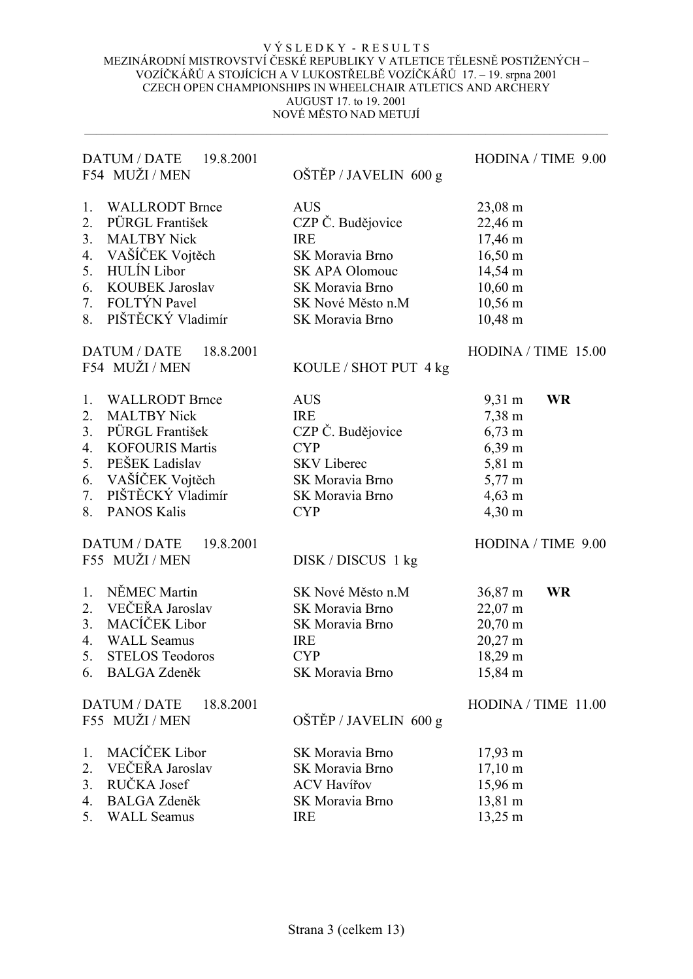| DATUM / DATE<br>19.8.2001<br>F54 MUŽI / MEN                                                                                                                                                                              | OŠTĚP / JAVELIN 600 g                                                                                                                         | HODINA / TIME 9.00                                                                                                                                        |
|--------------------------------------------------------------------------------------------------------------------------------------------------------------------------------------------------------------------------|-----------------------------------------------------------------------------------------------------------------------------------------------|-----------------------------------------------------------------------------------------------------------------------------------------------------------|
| <b>WALLRODT Brnce</b><br>1.<br>PÜRGL František<br>2.<br>3.<br><b>MALTBY Nick</b><br>VAŠÍČEK Vojtěch<br>4.<br><b>HULÍN</b> Libor<br>5.<br><b>KOUBEK Jaroslav</b><br>6.<br>FOLTÝN Pavel<br>7.<br>PIŠTĚCKÝ Vladimír<br>8.   | <b>AUS</b><br>CZP Č. Budějovice<br><b>IRE</b><br>SK Moravia Brno<br>SK APA Olomouc<br>SK Moravia Brno<br>SK Nové Město n.M<br>SK Moravia Brno | $23,08 \; \text{m}$<br>22,46 m<br>17,46 m<br>$16,50 \text{ m}$<br>14,54 m<br>$10,60 \text{ m}$<br>$10,56 \text{ m}$<br>$10,48 \text{ m}$                  |
| DATUM / DATE<br>18.8.2001<br>F54 MUŽI / MEN                                                                                                                                                                              | KOULE / SHOT PUT 4 kg                                                                                                                         | HODINA / TIME 15.00                                                                                                                                       |
| <b>WALLRODT Brnce</b><br>1.<br><b>MALTBY Nick</b><br>2.<br>PÜRGL František<br>3.<br><b>KOFOURIS Martis</b><br>4.<br>PEŠEK Ladislav<br>5.<br>VAŠÍČEK Vojtěch<br>6.<br>PIŠTĚCKÝ Vladimír<br>7.<br>8.<br><b>PANOS Kalis</b> | <b>AUS</b><br><b>IRE</b><br>CZP Č. Budějovice<br><b>CYP</b><br><b>SKV</b> Liberec<br>SK Moravia Brno<br>SK Moravia Brno<br><b>CYP</b>         | 9,31 m<br><b>WR</b><br>$7,38 \text{ m}$<br>$6,73 \; \text{m}$<br>$6,39 \text{ m}$<br>5,81 m<br>$5,77 \text{ m}$<br>$4,63 \; \text{m}$<br>$4,30 \text{ m}$ |
| <b>DATUM / DATE</b><br>19.8.2001<br>F55 MUŽI / MEN                                                                                                                                                                       | DISK / DISCUS 1 kg                                                                                                                            | HODINA / TIME 9.00                                                                                                                                        |
| NĚMEC Martin<br>1.<br>VEČEŘA Jaroslav<br>2.<br>MACÍČEK Libor<br>3.<br><b>WALL Seamus</b><br>4.<br>5.<br><b>STELOS Teodoros</b><br><b>BALGA Zdeněk</b><br>6.                                                              | SK Nové Město n.M<br>SK Moravia Brno<br>SK Moravia Brno<br><b>IRE</b><br><b>CYP</b><br>SK Moravia Brno                                        | $36,87 \text{ m}$<br><b>WR</b><br>$22,07 \text{ m}$<br>$20,70 \text{ m}$<br>20,27 m<br>18,29 m<br>15,84 m                                                 |
| DATUM / DATE<br>18.8.2001<br>F55 MUŽI / MEN                                                                                                                                                                              | OŠTĚP / JAVELIN 600 g                                                                                                                         | $HODINA / TIME$ 11.00                                                                                                                                     |
| MACÍČEK Libor<br>1.<br>VEČEŘA Jaroslav<br>2.<br>RUČKA Josef<br>3.<br><b>BALGA Zdeněk</b><br>4.<br><b>WALL Seamus</b><br>5.                                                                                               | SK Moravia Brno<br>SK Moravia Brno<br><b>ACV Havířov</b><br>SK Moravia Brno<br><b>IRE</b>                                                     | $17,93 \; \text{m}$<br>$17,10 \text{ m}$<br>15,96 m<br>13,81 m<br>13,25 m                                                                                 |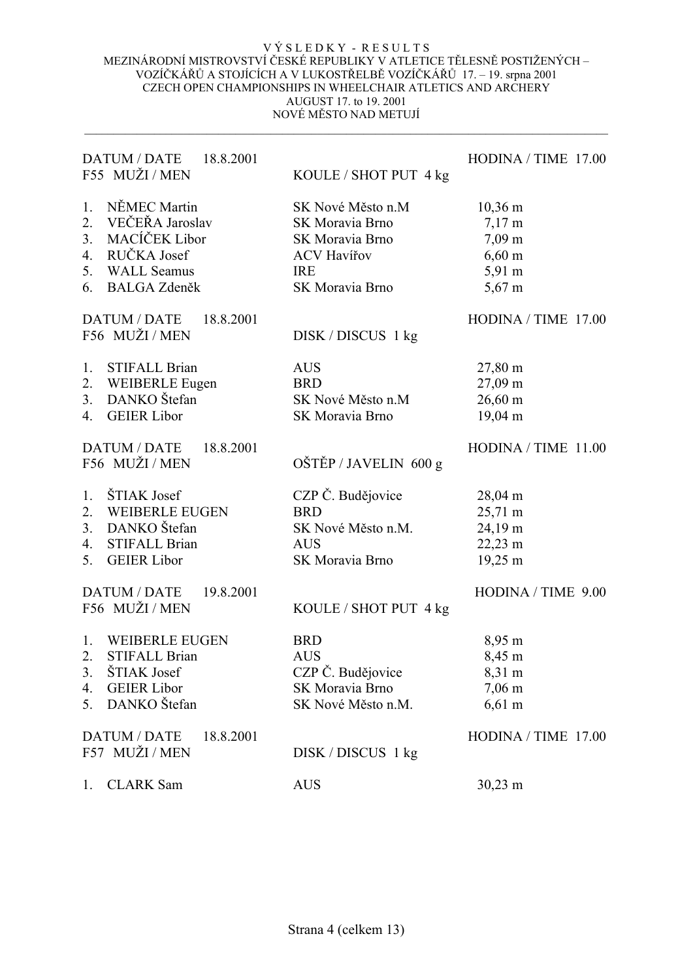| DATUM / DATE<br>18.8.2001<br>F55 MUŽI / MEN        | KOULE / SHOT PUT 4 kg | HODINA / TIME 17.00 |
|----------------------------------------------------|-----------------------|---------------------|
| NĚMEC Martin<br>1.                                 | SK Nové Město n.M     | $10,36 \text{ m}$   |
| 2. VEČEŘA Jaroslav                                 | SK Moravia Brno       | $7,17 \text{ m}$    |
| MACÍČEK Libor<br>3.                                | SK Moravia Brno       | $7,09 \text{ m}$    |
| RUČKA Josef<br>4.                                  | <b>ACV Havířov</b>    | $6,60 \; \rm{m}$    |
| 5.<br><b>WALL Seamus</b>                           | <b>IRE</b>            | 5,91 m              |
| <b>BALGA Zdeněk</b><br>6.                          | SK Moravia Brno       | $5,67 \text{ m}$    |
| <b>DATUM / DATE</b><br>18.8.2001<br>F56 MUŽI / MEN |                       | HODINA / TIME 17.00 |
|                                                    | DISK / DISCUS 1 kg    |                     |
| <b>STIFALL Brian</b><br>1.                         | <b>AUS</b>            | 27,80 m             |
| <b>WEIBERLE Eugen</b><br>2.                        | <b>BRD</b>            | 27,09 m             |
| DANKO Štefan<br>3.                                 | SK Nové Město n.M     | $26,60 \text{ m}$   |
| <b>GEIER Libor</b><br>4.                           | SK Moravia Brno       | $19,04 \text{ m}$   |
| <b>DATUM / DATE</b><br>18.8.2001                   |                       | HODINA / TIME 11.00 |
| F56 MUŽI / MEN                                     | OŠTĚP / JAVELIN 600 g |                     |
| ŠTIAK Josef<br>1.                                  | CZP Č. Budějovice     | 28,04 m             |
| 2. WEIBERLE EUGEN                                  | <b>BRD</b>            | $25,71 \text{ m}$   |
| 3. DANKO Štefan                                    | SK Nové Město n.M.    | $24,19 \text{ m}$   |
| <b>STIFALL Brian</b><br>$\overline{4}$ .           | <b>AUS</b>            | 22,23 m             |
| <b>GEIER Libor</b><br>5.                           | SK Moravia Brno       | 19,25 m             |
| <b>DATUM / DATE</b><br>19.8.2001                   |                       | HODINA / TIME 9.00  |
| F56 MUŽI / MEN                                     | KOULE / SHOT PUT 4 kg |                     |
| 1. WEIBERLE EUGEN                                  | <b>BRD</b>            | 8,95 m              |
| 2.<br><b>STIFALL Brian</b>                         | <b>AUS</b>            | 8,45 m              |
| ŠTIAK Josef<br>3.                                  | CZP Č. Budějovice     | 8,31 m              |
| <b>GEIER Libor</b><br>4.                           | SK Moravia Brno       | $7,06 \; \text{m}$  |
| DANKO Štefan<br>5.                                 | SK Nové Město n.M.    | $6,61 \text{ m}$    |
| <b>DATUM / DATE</b><br>18.8.2001                   |                       | HODINA / TIME 17.00 |
| F57 MUŽI / MEN                                     | DISK / DISCUS 1 kg    |                     |
| <b>CLARK</b> Sam<br>1.                             | <b>AUS</b>            | $30,23 \; \text{m}$ |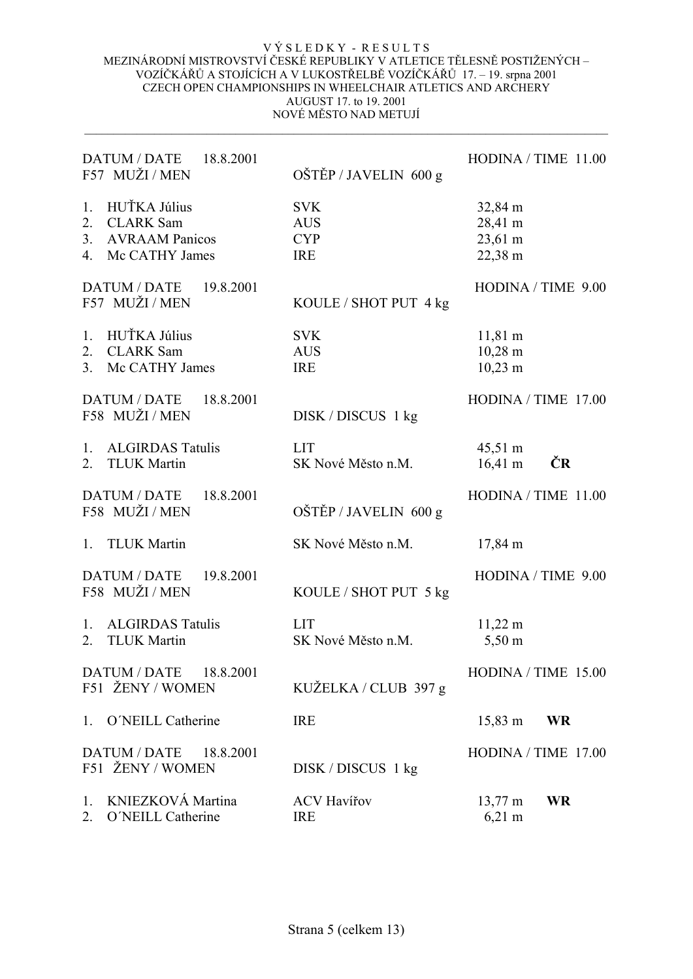| DATUM / DATE 18.8.2001<br>F57 MUŽI / MEN                                                                  | OŠTĚP / JAVELIN 600 g                                | HODINA / TIME 11.00                                             |
|-----------------------------------------------------------------------------------------------------------|------------------------------------------------------|-----------------------------------------------------------------|
| HUŤKA Július<br>$1_{\cdot}$<br><b>CLARK</b> Sam<br>2.<br>3.<br><b>AVRAAM Panicos</b><br>4. Mc CATHY James | <b>SVK</b><br><b>AUS</b><br><b>CYP</b><br><b>IRE</b> | 32,84 m<br>28,41 m<br>23,61 m<br>22,38 m                        |
| DATUM / DATE<br>19.8.2001<br>F57 MUŽI / MEN                                                               | KOULE / SHOT PUT 4 kg                                | HODINA / TIME 9.00                                              |
| HUŤKA Július<br>1.<br><b>CLARK Sam</b><br>$\overline{2}$ .<br>Mc CATHY James<br>3.                        | <b>SVK</b><br><b>AUS</b><br><b>IRE</b>               | $11,81 \; \text{m}$<br>$10,28 \text{ m}$<br>$10,23 \; \text{m}$ |
| <b>DATUM / DATE</b><br>18.8.2001<br>F58 MUŽI / MEN                                                        | DISK/DISCUS 1 kg                                     | HODINA / TIME 17.00                                             |
| <b>ALGIRDAS Tatulis</b><br>1.<br><b>TLUK Martin</b><br>2.                                                 | <b>LIT</b><br>SK Nové Město n.M.                     | $45,51 \text{ m}$<br>ČR<br>$16,41 \text{ m}$                    |
| <b>DATUM / DATE</b><br>18.8.2001<br>F58 MUŽI/MEN                                                          | OŠTĚP / JAVELIN 600 g                                | HODINA / TIME 11.00                                             |
| 1. TLUK Martin                                                                                            | SK Nové Město n.M.                                   | $17,84 \text{ m}$                                               |
| <b>DATUM / DATE</b><br>19.8.2001<br>F58 MUŽI / MEN                                                        | KOULE / SHOT PUT 5 kg                                | HODINA / TIME 9.00                                              |
| 1. ALGIRDAS Tatulis<br><b>TLUK Martin</b><br>2.                                                           | <b>LIT</b><br>SK Nové Město n.M.                     | $11,22 \text{ m}$<br>$5,50 \text{ m}$                           |
| DATUM / DATE 18.8.2001<br>F51 ŽENY / WOMEN                                                                | KUŽELKA / CLUB 397 g                                 | $HODINA / TIME$ 15.00                                           |
| 1. O'NEILL Catherine                                                                                      | <b>IRE</b>                                           | <b>WR</b><br>$15,83 \; \text{m}$                                |
| DATUM / DATE<br>18.8.2001<br>F51 ŽENY / WOMEN                                                             | DISK / DISCUS 1 kg                                   | $HODINA / TIME$ 17.00                                           |
| KNIEZKOVÁ Martina<br>1.<br>O'NEILL Catherine<br>2.                                                        | <b>ACV Havířov</b><br><b>IRE</b>                     | <b>WR</b><br>$13,77 \text{ m}$<br>$6,21 \text{ m}$              |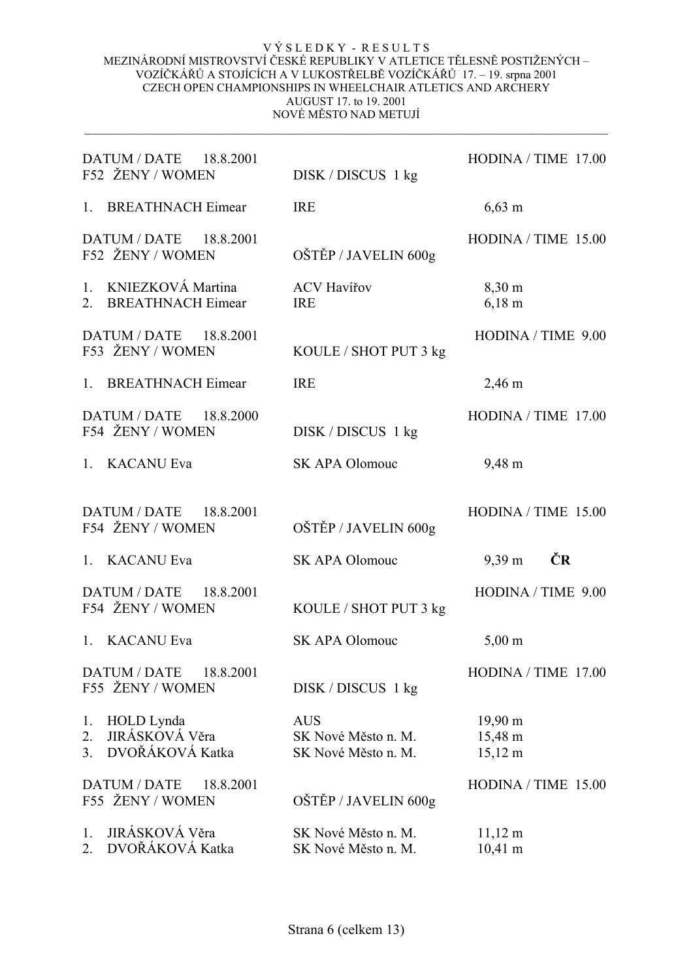| DATUM / DATE 18.8.2001<br>F52 ŽENY / WOMEN                                      | DISK / DISCUS 1 kg                                       | HODINA / TIME 17.00                               |
|---------------------------------------------------------------------------------|----------------------------------------------------------|---------------------------------------------------|
| 1. BREATHNACH Eimear                                                            | <b>IRE</b>                                               | $6,63 \; \rm{m}$                                  |
| DATUM / DATE 18.8.2001<br>F52 ŽENY / WOMEN                                      | OŠTĚP / JAVELIN 600g                                     | HODINA / TIME 15.00                               |
| 1. KNIEZKOVÁ Martina<br>2. BREATHNACH Eimear                                    | <b>ACV Havířov</b><br><b>IRE</b>                         | 8,30 m<br>$6,18 \; \rm{m}$                        |
| DATUM / DATE 18.8.2001<br>F53 ŽENY / WOMEN                                      | KOULE / SHOT PUT 3 kg                                    | HODINA / TIME 9.00                                |
| <b>BREATHNACH Eimear</b><br>1 <sup>1</sup>                                      | <b>IRE</b>                                               | $2,46 \text{ m}$                                  |
| DATUM / DATE 18.8.2000<br>F54 ŽENY / WOMEN                                      | DISK/DISCUS 1 kg                                         | HODINA / TIME 17.00                               |
| 1. KACANU Eva                                                                   | SK APA Olomouc                                           | 9,48 m                                            |
| DATUM / DATE 18.8.2001<br>F54 ŽENY / WOMEN                                      | OŠTĚP / JAVELIN 600g                                     | HODINA / TIME 15.00                               |
| 1. KACANU Eva                                                                   | SK APA Olomouc                                           | ČR<br>$9,39 \text{ m}$                            |
| DATUM / DATE 18.8.2001<br>F54 ŽENY / WOMEN                                      | KOULE / SHOT PUT 3 kg                                    | HODINA / TIME 9.00                                |
| <b>KACANU Eva</b><br>1.                                                         | <b>SK APA Olomouc</b>                                    | $5,00 \text{ m}$                                  |
| <b>DATUM / DATE</b><br>18.8.2001<br>F55 ŽENY / WOMEN                            | DISK / DISCUS 1 kg                                       | HODINA / TIME 17.00                               |
| HOLD Lynda<br>1.<br>JIRÁSKOVÁ Věra<br>$\overline{2}$ .<br>DVOŘÁKOVÁ Katka<br>3. | <b>AUS</b><br>SK Nové Město n. M.<br>SK Nové Město n. M. | $19,90 \text{ m}$<br>15,48 m<br>$15,12 \text{ m}$ |
| <b>DATUM / DATE</b><br>18.8.2001<br>F55 ŽENY / WOMEN                            | OŠTĚP / JAVELIN 600g                                     | HODINA / TIME 15.00                               |
| JIRÁSKOVÁ Věra<br>1.<br>DVOŘÁKOVÁ Katka<br>$\overline{2}$ .                     | SK Nové Město n. M.<br>SK Nové Město n. M.               | $11,12 \text{ m}$<br>$10,41 \text{ m}$            |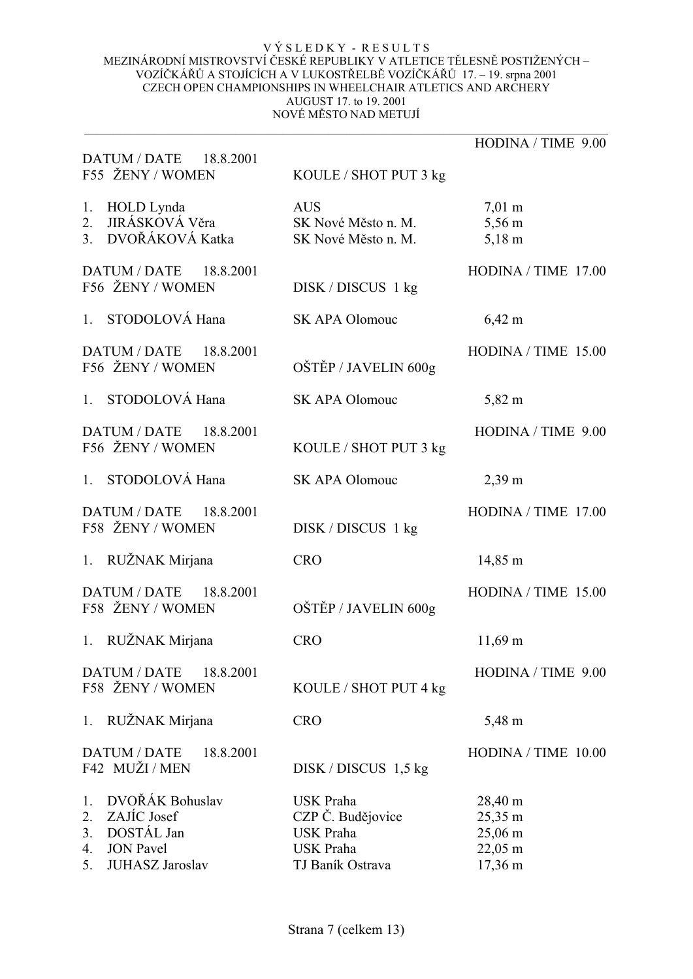|                                                                                                                   |                                                                                                   | HODINA / TIME 9.00                                  |
|-------------------------------------------------------------------------------------------------------------------|---------------------------------------------------------------------------------------------------|-----------------------------------------------------|
| DATUM / DATE 18.8.2001<br>F55 ŽENY / WOMEN                                                                        | KOULE / SHOT PUT 3 kg                                                                             |                                                     |
| HOLD Lynda<br>1.<br>2. JIRÁSKOVÁ Věra<br>3. DVOŘÁKOVÁ Katka                                                       | <b>AUS</b><br>SK Nové Město n. M.<br>SK Nové Město n. M.                                          | $7,01 \text{ m}$<br>5,56 m<br>$5,18 \; \text{m}$    |
| DATUM / DATE 18.8.2001<br>F56 ŽENY / WOMEN                                                                        | DISK / DISCUS 1 kg                                                                                | HODINA / TIME 17.00                                 |
| STODOLOVÁ Hana<br>$1_{\cdot}$                                                                                     | <b>SK APA Olomouc</b>                                                                             | $6,42 \; \rm{m}$                                    |
| DATUM / DATE 18.8.2001<br>F56 ŽENY / WOMEN                                                                        | OŠTĚP / JAVELIN 600g                                                                              | HODINA / TIME 15.00                                 |
| 1. STODOLOVÁ Hana                                                                                                 | <b>SK APA Olomouc</b>                                                                             | 5,82 m                                              |
| <b>DATUM / DATE</b><br>18.8.2001<br>F56 ŽENY / WOMEN                                                              | KOULE / SHOT PUT 3 kg                                                                             | HODINA / TIME 9.00                                  |
| STODOLOVÁ Hana<br>1.                                                                                              | <b>SK APA Olomouc</b>                                                                             | $2,39 \text{ m}$                                    |
| DATUM / DATE 18.8.2001<br>F58 ŽENY / WOMEN                                                                        | DISK / DISCUS 1 kg                                                                                | HODINA / TIME 17.00                                 |
| 1. RUŽNAK Mirjana                                                                                                 | <b>CRO</b>                                                                                        | $14,85 \; \mathrm{m}$                               |
| DATUM / DATE<br>18.8.2001<br>F58 ŽENY / WOMEN                                                                     | OŠTĚP / JAVELIN 600g                                                                              | HODINA / TIME 15.00                                 |
| 1. RUŽNAK Mirjana                                                                                                 | <b>CRO</b>                                                                                        | $11,69 \text{ m}$                                   |
| DATUM / DATE<br>18.8.2001<br>F58 ŽENY / WOMEN                                                                     | KOULE / SHOT PUT 4 kg                                                                             | HODINA / TIME 9.00                                  |
| 1. RUŽNAK Mirjana                                                                                                 | <b>CRO</b>                                                                                        | 5,48 m                                              |
| <b>DATUM / DATE</b><br>18.8.2001<br>F42 MUŽI / MEN                                                                | $DISK / DISCUS$ 1,5 kg                                                                            | HODINA / TIME 10.00                                 |
| DVOŘÁK Bohuslav<br>1.<br>ZAJÍC Josef<br>2.<br>DOSTÁL Jan<br>3.<br><b>JON</b> Pavel<br>4.<br>JUHASZ Jaroslav<br>5. | <b>USK Praha</b><br>CZP Č. Budějovice<br><b>USK Praha</b><br><b>USK Praha</b><br>TJ Baník Ostrava | 28,40 m<br>25,35 m<br>25,06 m<br>22,05 m<br>17,36 m |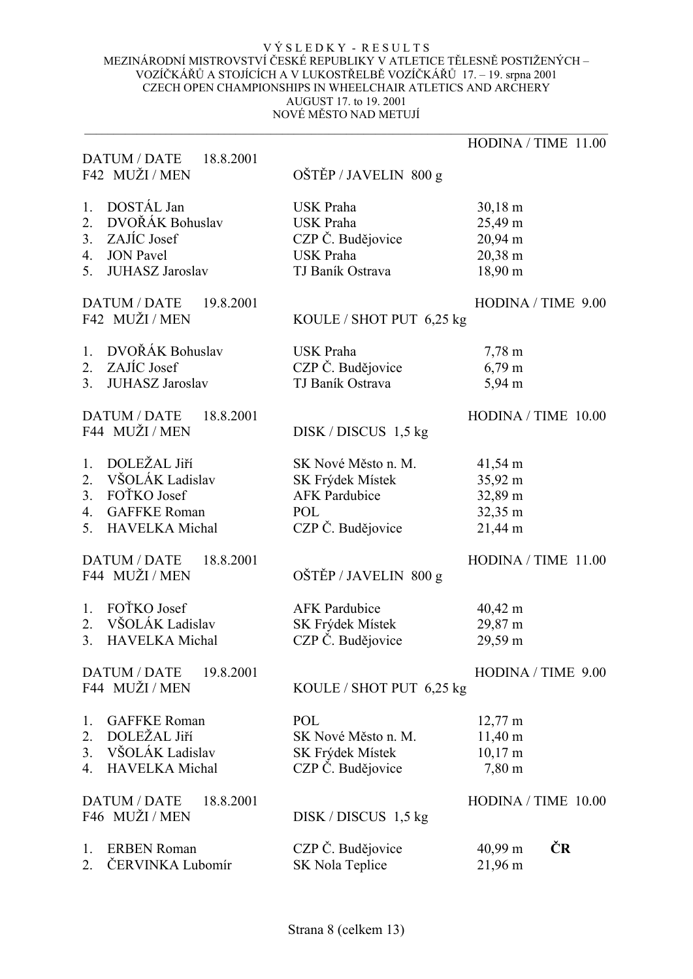|                                          |                          | HODINA / TIME 11.00 |
|------------------------------------------|--------------------------|---------------------|
| DATUM / DATE 18.8.2001<br>F42 MUŽI / MEN | OŠTĚP / JAVELIN 800 g    |                     |
|                                          |                          |                     |
| DOSTÁL Jan<br>1.                         | <b>USK Praha</b>         | $30,18 \text{ m}$   |
| DVOŘÁK Bohuslav<br>2.                    | <b>USK Praha</b>         | 25,49 m             |
| ZAJÍC Josef<br>3.                        | CZP Č. Budějovice        | 20,94 m             |
| <b>JON</b> Pavel<br>4.                   | <b>USK Praha</b>         | 20,38 m             |
| 5.<br><b>JUHASZ Jaroslav</b>             | TJ Baník Ostrava         | 18,90 m             |
| <b>DATUM / DATE</b><br>19.8.2001         |                          | HODINA / TIME 9.00  |
| F42 MUŽI / MEN                           | KOULE / SHOT PUT 6,25 kg |                     |
| DVOŘÁK Bohuslav<br>1.                    | <b>USK Praha</b>         | $7,78 \; \text{m}$  |
| ZAJÍC Josef<br>2.                        | CZP Č. Budějovice        | $6,79 \text{ m}$    |
| <b>JUHASZ Jaroslav</b><br>3.             | TJ Baník Ostrava         | 5,94 m              |
| <b>DATUM / DATE</b><br>18.8.2001         |                          | HODINA / TIME 10.00 |
| F44 MUŽI / MEN                           | $DISK / DISCUS$ 1,5 kg   |                     |
| DOLEŽAL Jiří<br>1.                       | SK Nové Město n. M.      | 41,54 m             |
| VŠOLÁK Ladislav<br>2.                    | SK Frýdek Místek         | 35,92 m             |
| FOTKO Josef<br>3 <sub>1</sub>            | <b>AFK Pardubice</b>     | 32,89 m             |
| <b>GAFFKE Roman</b><br>4.                | POL                      | 32,35 m             |
| <b>HAVELKA</b> Michal<br>5.              | CZP Č. Budějovice        | $21,44 \text{ m}$   |
| <b>DATUM / DATE</b><br>18.8.2001         |                          | HODINA / TIME 11.00 |
| F44 MUŽI / MEN                           | OŠTĚP / JAVELIN 800 g    |                     |
| FOTKO Josef<br>1.                        | <b>AFK</b> Pardubice     | $40,42 \text{ m}$   |
| 2. VŠOLÁK Ladislav                       | SK Frýdek Místek         | 29,87 m             |
| <b>HAVELKA</b> Michal<br>3.              | CZP Č. Budějovice        | 29,59 m             |
| <b>DATUM / DATE</b><br>19.8.2001         |                          | HODINA / TIME 9.00  |
| F44 MUŽI / MEN                           | KOULE / SHOT PUT 6,25 kg |                     |
| <b>GAFFKE Roman</b><br>1.                | <b>POL</b>               | $12,77 \text{ m}$   |
| DOLEŽAL Jiří<br>2.                       | SK Nové Město n. M.      | $11,40 \text{ m}$   |
| VŠOLÁK Ladislav<br>3.                    | SK Frýdek Místek         | $10,17 \text{ m}$   |
| <b>HAVELKA</b> Michal<br>4.              | CZP Č. Budějovice        | 7,80 m              |
| 18.8.2001<br><b>DATUM / DATE</b>         |                          | HODINA / TIME 10.00 |
| F46 MUŽI / MEN                           | $DISK / DISCUS$ 1,5 kg   |                     |
| <b>ERBEN Roman</b><br>1.                 | CZP Č. Budějovice        | ČR<br>40,99 m       |
| ČERVINKA Lubomír<br>2.                   | <b>SK Nola Teplice</b>   | 21,96 m             |
|                                          |                          |                     |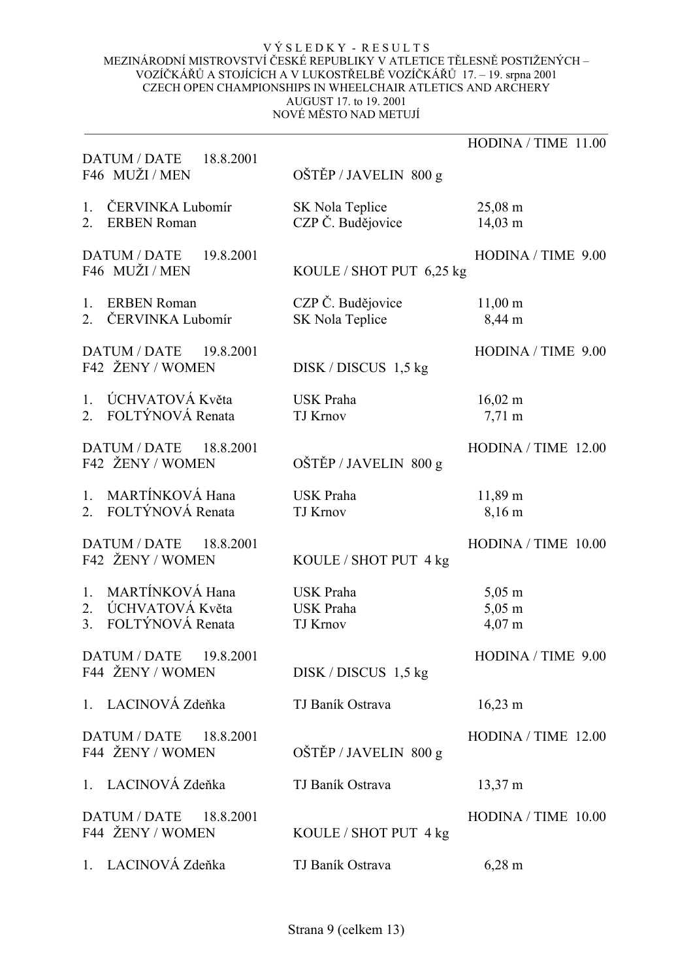|                                                         | HODINA / TIME 11.00                                          |
|---------------------------------------------------------|--------------------------------------------------------------|
| OŠTĚP / JAVELIN 800 g                                   |                                                              |
| SK Nola Teplice<br>CZP Č. Budějovice                    | $25,08 \; \text{m}$<br>$14,03 \; \text{m}$                   |
|                                                         | HODINA / TIME 9.00                                           |
| CZP Č. Budějovice<br>SK Nola Teplice                    | $11,00 \; \text{m}$<br>8,44 m                                |
| $DISK / DISCUS$ 1,5 kg                                  | HODINA / TIME 9.00                                           |
| <b>USK Praha</b><br><b>TJ Krnov</b>                     | $16,02 \; \text{m}$<br>$7,71 \text{ m}$                      |
| OŠTĚP / JAVELIN 800 g                                   | HODINA / TIME 12.00                                          |
| <b>USK Praha</b><br><b>TJ Krnov</b>                     | 11,89 m<br>8,16 m                                            |
| KOULE / SHOT PUT 4 kg                                   | HODINA / TIME 10.00                                          |
| <b>USK Praha</b><br><b>USK Praha</b><br><b>TJ Krnov</b> | $5,05 \; \text{m}$<br>$5,05 \; \text{m}$<br>$4,07 \text{ m}$ |
| $DISK / DISCUS$ 1,5 kg                                  | HODINA / TIME 9.00                                           |
| TJ Baník Ostrava                                        | $16,23 \text{ m}$                                            |
| OŠTĚP / JAVELIN 800 g                                   | HODINA / TIME 12.00                                          |
| TJ Baník Ostrava                                        | 13,37 m                                                      |
| KOULE / SHOT PUT 4 kg                                   | HODINA / TIME 10.00                                          |
| TJ Baník Ostrava                                        | $6,28 \; \rm{m}$                                             |
|                                                         | KOULE / SHOT PUT 6,25 kg                                     |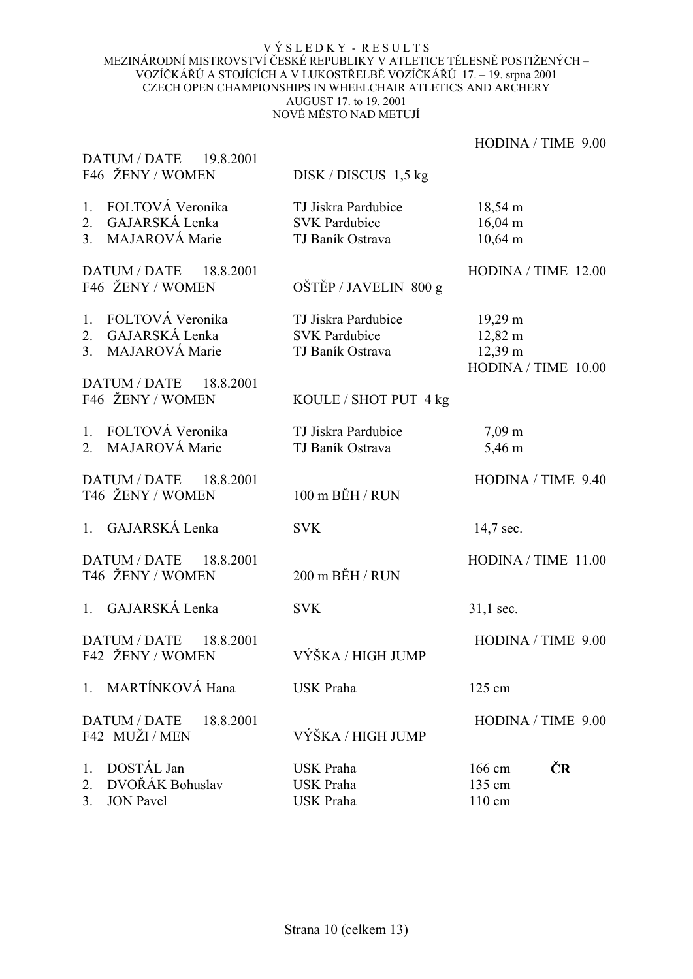|                                                                                           |                                                                 | HODINA / TIME 9.00                                                       |
|-------------------------------------------------------------------------------------------|-----------------------------------------------------------------|--------------------------------------------------------------------------|
| DATUM / DATE 19.8.2001<br>F46 ŽENY / WOMEN                                                | $DISK / DISCUS$ 1,5 kg                                          |                                                                          |
| FOLTOVÁ Veronika<br>1.<br>GAJARSKÁ Lenka<br>2.<br>3 <sub>1</sub><br><b>MAJAROVÁ Marie</b> | TJ Jiskra Pardubice<br><b>SVK Pardubice</b><br>TJ Baník Ostrava | $18,54 \text{ m}$<br>$16,04 \text{ m}$<br>$10,64 \text{ m}$              |
| <b>DATUM / DATE</b><br>18.8.2001<br>F46 ŽENY / WOMEN                                      | OŠTĚP / JAVELIN 800 g                                           | HODINA / TIME 12.00                                                      |
| FOLTOVÁ Veronika<br>1.<br>GAJARSKÁ Lenka<br>2.<br><b>MAJAROVÁ Marie</b><br>3.             | TJ Jiskra Pardubice<br><b>SVK Pardubice</b><br>TJ Baník Ostrava | $19,29 \text{ m}$<br>$12,82 \text{ m}$<br>12,39 m<br>HODINA / TIME 10.00 |
| DATUM / DATE 18.8.2001<br>F46 ŽENY / WOMEN                                                | KOULE / SHOT PUT 4 kg                                           |                                                                          |
| FOLTOVÁ Veronika<br>1.<br><b>MAJAROVÁ Marie</b><br>$\overline{2}$                         | TJ Jiskra Pardubice<br>TJ Baník Ostrava                         | $7,09 \text{ m}$<br>5,46 m                                               |
| DATUM / DATE 18.8.2001<br>T46 ŽENY / WOMEN                                                | 100 m BĚH / RUN                                                 | HODINA / TIME 9.40                                                       |
| GAJARSKÁ Lenka<br>1.                                                                      | <b>SVK</b>                                                      | 14,7 sec.                                                                |
| DATUM / DATE 18.8.2001<br>T46 ŽENY / WOMEN                                                | 200 m BĚH / RUN                                                 | HODINA / TIME 11.00                                                      |
| 1. GAJARSKÁ Lenka                                                                         | <b>SVK</b>                                                      | $31,1$ sec.                                                              |
| <b>DATUM / DATE</b><br>18.8.2001<br>F42 ŽENY / WOMEN                                      | VÝŠKA / HIGH JUMP                                               | HODINA / TIME 9.00                                                       |
| MARTÍNKOVÁ Hana<br>1 <sup>1</sup>                                                         | <b>USK Praha</b>                                                | 125 cm                                                                   |
| <b>DATUM / DATE</b><br>18.8.2001<br>F42 MUŽI/MEN                                          | VÝŠKA / HIGH JUMP                                               | HODINA / TIME 9.00                                                       |
| DOSTÁL Jan<br>$1_{\cdot}$<br>DVOŘÁK Bohuslav<br>2.<br>3.<br><b>JON Pavel</b>              | <b>USK Praha</b><br><b>USK Praha</b><br><b>USK Praha</b>        | ČR<br>166 cm<br>135 cm<br>$110 \text{ cm}$                               |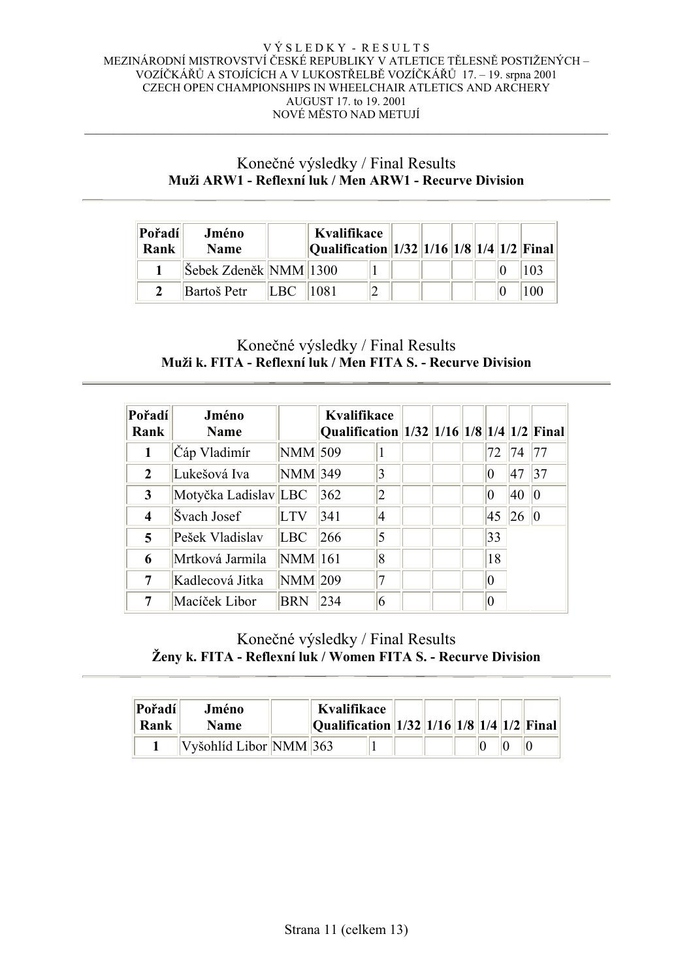## Konečné výsledky / Final Results **Muži ARW1 - Reflexní luk / Men ARW1 - Recurve Division**

| Pořadí<br>Rank | Jméno<br><b>Name</b>                     |      | Kvalifikace<br> Qualification  1/32  1/16  1/8  1/4  1/2  Final |  |  |  |                 |
|----------------|------------------------------------------|------|-----------------------------------------------------------------|--|--|--|-----------------|
|                | $ \text{\r{S}ebek Zden\n{Ek}} NMM  1300$ |      |                                                                 |  |  |  |                 |
|                | Bartoš Petr                              | LBC. | 11081                                                           |  |  |  | 10 <sup>o</sup> |

## Konečné výsledky / Final Results **Muži k. FITA - Reflexní luk / Men FITA S. - Recurve Division**

| Pořadí<br>Rank | Jméno<br><b>Name</b> |             | Kvalifikace<br>Qualification 1/32 1/16 1/8 1/4 1/2 Final |   |  |                 |    |    |
|----------------|----------------------|-------------|----------------------------------------------------------|---|--|-----------------|----|----|
| 1              | Čáp Vladimír         | NMM 509     |                                                          |   |  | 72              | 74 | 77 |
| $\overline{2}$ | Lukešová Iva         | NMM 349     |                                                          | 3 |  | 0               | 47 | 37 |
| $\mathbf{3}$   | Motyčka Ladislav LBC |             | 362                                                      | 2 |  | $\vert 0 \vert$ | 40 | 10 |
| 4              | Švach Josef          | <b>LTV</b>  | 341                                                      | 4 |  | 45              | 26 | Ю  |
| 5              | Pešek Vladislav      | LBC         | 266                                                      | 5 |  | 33              |    |    |
| 6              | Mrtková Jarmila      | NMM 161     |                                                          | 8 |  | 18              |    |    |
| 7              | Kadlecová Jitka      | $ NMM $ 209 |                                                          | 7 |  | $\vert 0 \vert$ |    |    |
| 7              | Macíček Libor        | <b>BRN</b>  | 234                                                      | 6 |  | l0              |    |    |

# Konečné výsledky / Final Results **Ženy k. FITA - Reflexní luk / Women FITA S. - Recurve Division**

| Pořadí<br>Rank | Jméno<br><b>Name</b>   | Kvalifikace<br>$\ $ Qualification $\ 1/32\ 1/16\ 1/8\ 1/4\ 1/2\ $ Final |  |  |  |  |
|----------------|------------------------|-------------------------------------------------------------------------|--|--|--|--|
|                | Vyšohlíd Libor NMM 363 |                                                                         |  |  |  |  |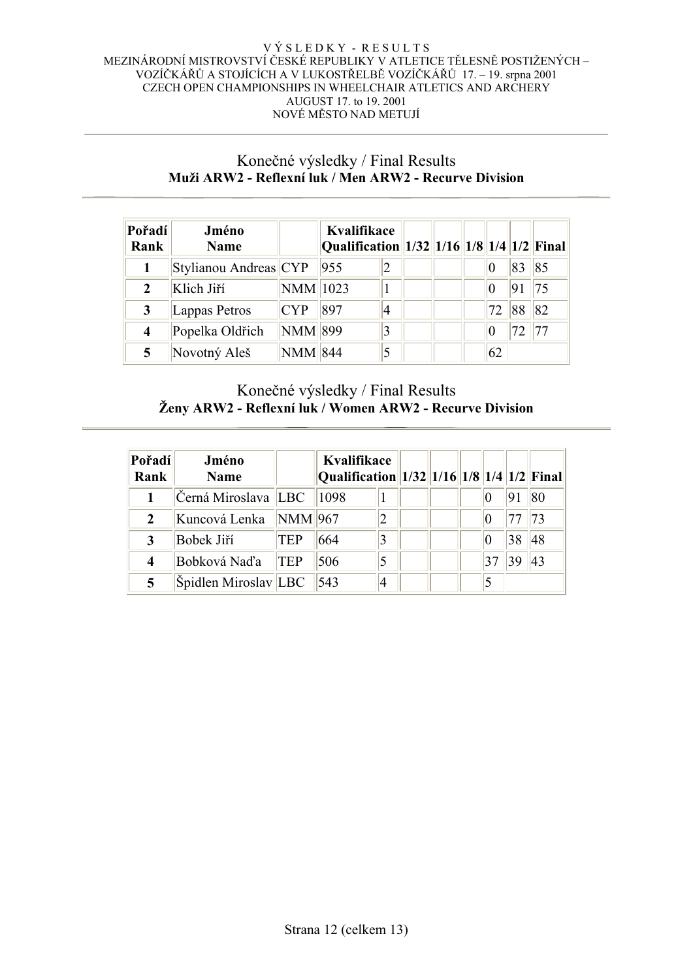### Konečné výsledky / Final Results **Muži ARW2 - Reflexní luk / Men ARW2 - Recurve Division**

| Pořadí<br>Rank | Jméno<br><b>Name</b>  |                | Kvalifikace<br>$\vert$ Qualification $\vert\vert$ 1/32 $\vert\vert$ 1/16 $\vert\vert$ 1/8 $\vert\vert$ 1/4 $\vert\vert$ 1/2 $\vert\vert$ Final |                |  |     |    |     |
|----------------|-----------------------|----------------|------------------------------------------------------------------------------------------------------------------------------------------------|----------------|--|-----|----|-----|
|                | Stylianou Andreas CYP |                | 955                                                                                                                                            |                |  |     | 83 | 85  |
| 2              | Klich Jiří            | NMM 1023       |                                                                                                                                                |                |  |     |    | 175 |
| 3              | Lappas Petros         | <b>CYP</b>     | 897                                                                                                                                            | $\overline{4}$ |  | 172 | 88 | 82  |
| 4              | Popelka Oldřich       | NMM 899        |                                                                                                                                                | 3              |  |     |    | 77  |
|                | Novotný Aleš          | <b>NMM 844</b> |                                                                                                                                                | 5              |  | 62  |    |     |

# Konečné výsledky / Final Results **Ženy ARW2 - Reflexní luk / Women ARW2 - Recurve Division**

| Pořadí<br>Rank | Jméno<br><b>Name</b>  |                | Kvalifikace<br>Qualification 1/32 1/16 1/8 1/4 1/2 Final |   |  |  |    |    |
|----------------|-----------------------|----------------|----------------------------------------------------------|---|--|--|----|----|
|                | Černá Miroslava   LBC |                | 1098                                                     |   |  |  |    | 80 |
|                | Kuncová Lenka         | <b>NMM</b> 967 |                                                          | 2 |  |  |    | 73 |
|                | Bobek Jiří            | <b>TEP</b>     | 664                                                      | 3 |  |  | 38 | 48 |
| 4              | Bobková Naďa          | <b>TEP</b>     | 506                                                      |   |  |  |    | 43 |
|                | Špidlen Miroslav LBC  |                | 543                                                      | 4 |  |  |    |    |